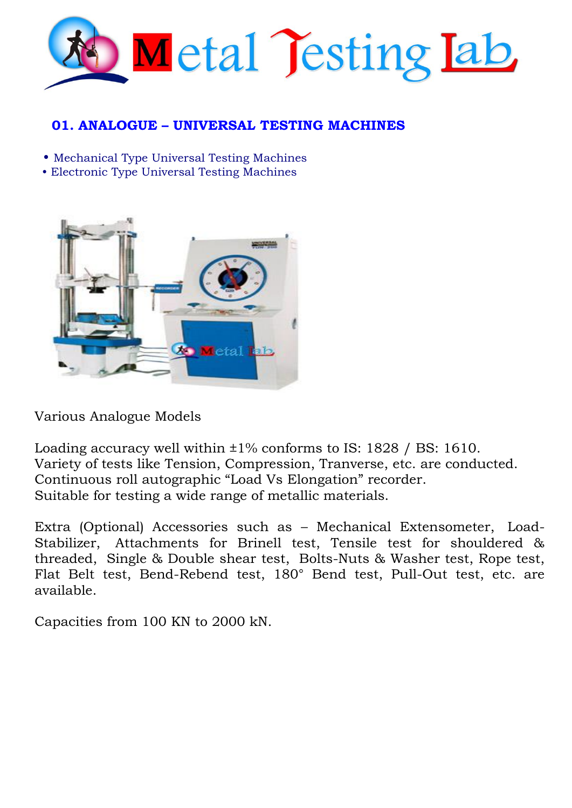

# **01. ANALOGUE – UNIVERSAL TESTING MACHINES**

• [Mechanical Type Universal Testing Machines](http://www.fuelinstrument.com/universal_testing_machine_mechanical.html)

• [Electronic Type Universal Testing Machines](http://www.fuelinstrument.com/universal_testing_machine.html)



Various Analogue Models

Loading accuracy well within  $\pm 1\%$  conforms to IS: 1828 / BS: 1610. Variety of tests like Tension, Compression, Tranverse, etc. are conducted. Continuous roll autographic "Load Vs Elongation" recorder. Suitable for testing a wide range of metallic materials.

Extra (Optional) Accessories such as – Mechanical Extensometer, Load-Stabilizer, Attachments for Brinell test, Tensile test for shouldered & threaded, Single & Double shear test, Bolts-Nuts & Washer test, Rope test, Flat Belt test, Bend-Rebend test, 180° Bend test, Pull-Out test, etc. are available.

Capacities from 100 KN to 2000 kN.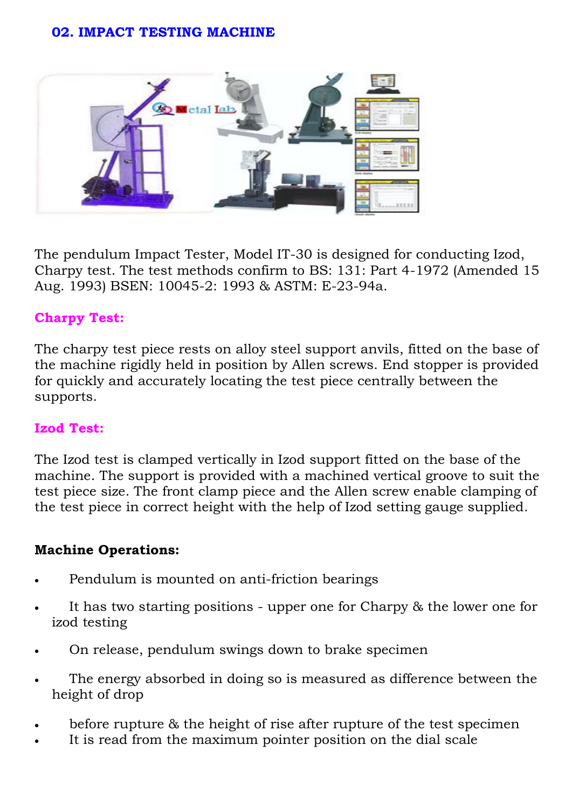#### **02. IMPACT TESTING MACHINE**



The pendulum Impact Tester, Model IT-30 is designed for conducting Izod, Charpy test. The test methods confirm to BS: 131: Part 4-1972 (Amended 15 Aug. 1993) BSEN: 10045-2: 1993 & ASTM: E-23-94a.

### **Charpy Test:**

The charpy test piece rests on alloy steel support anvils, fitted on the base of the machine rigidly held in position by Allen screws. End stopper is provided for quickly and accurately locating the test piece centrally between the supports.

#### **Izod Test:**

The Izod test is clamped vertically in Izod support fitted on the base of the machine. The support is provided with a machined vertical groove to suit the test piece size. The front clamp piece and the Allen screw enable clamping of the test piece in correct height with the help of Izod setting gauge supplied.

#### **Machine Operations:**

- Pendulum is mounted on anti-friction bearings
- It has two starting positions upper one for Charpy & the lower one for izod testing
- On release, pendulum swings down to brake specimen
- The energy absorbed in doing so is measured as difference between the height of drop
- before rupture & the height of rise after rupture of the test specimen
- It is read from the maximum pointer position on the dial scale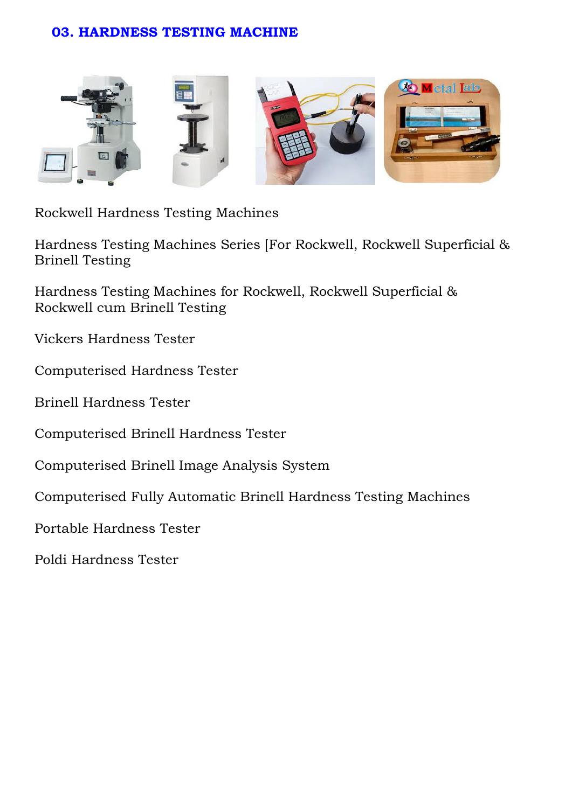### **03. HARDNESS TESTING MACHINE**



[Rockwell Hardness Testing Machines](http://www.fuelinstrument.com/rockwell_hardness_testing_machine.html)

[Hardness Testing Machines Series \[For Rockwell,](http://www.fuelinstrument.com/rockwell_hardness_testing_machine.html) [Rockwell](http://www.fuelinstrument.com/rockwell_hardness_testing_machine.html) [Superficial &](http://www.fuelinstrument.com/rockwell_hardness_testing_machine.html)  [Brinell Testing](http://www.fuelinstrument.com/rockwell_hardness_testing_machine.html)

[Hardness Testing Machines for](http://www.fuelinstrument.com/hardness-testing-machines-rasne.html) Rockwell, Rockwell [Superficial &](http://www.fuelinstrument.com/hardness-testing-machines-rasne.html) [Rockwell cum Brinell Testing](http://www.fuelinstrument.com/hardness-testing-machines-rasne.html)

[Vickers Hardness Tester](http://www.fuelinstrument.com/vickers_hardness_tester_vm50.html)

[Computerised Hardness Tester](http://www.fuelinstrument.com/vickers_hardness_tester_vm50_pc.html)

[Brinell Hardness Tester](http://www.fuelinstrument.com/computerisied%20_%20brinell_hardness_testing_model_B3000.html)

[Computerised Brinell Hardness Tester](http://www.fuelinstrument.com/computerised-brinell-hardness-testermodel-b3000-pc.html)

[Computerised Brinell Image Analysis System](http://www.fuelinstrument.com/computerised_brinell_image_analysis_system.html) 

[Computerised Fully Automatic Brinell Hardness](http://www.fuelinstrument.com/fullyautomatic_brinell_hardness_tester_modelB3000PCFA.html) [Testing Machines](http://www.fuelinstrument.com/fullyautomatic_brinell_hardness_tester_modelB3000PCFA.html) 

[Portable Hardness Tester](http://www.fuelinstrument.com/portable_hardness_tester.html)

Poldi Hardness Tester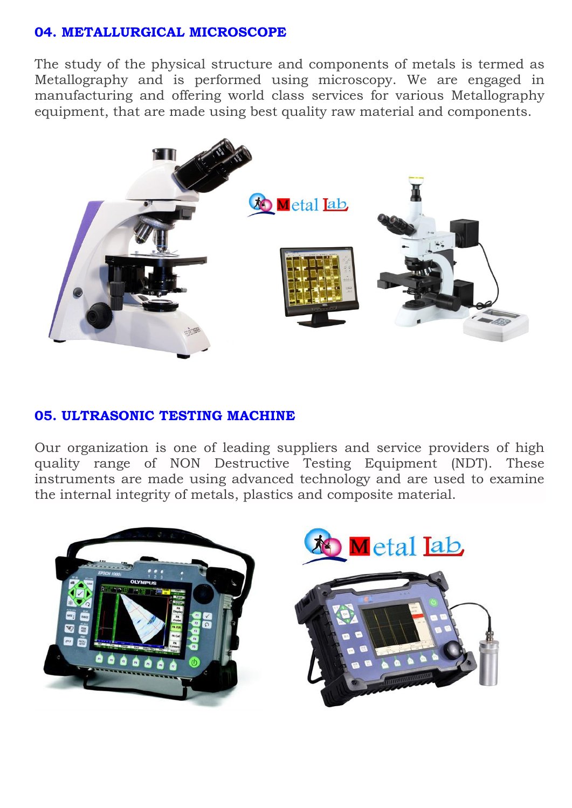### **04. METALLURGICAL MICROSCOPE**

The study of the physical structure and components of metals is termed as Metallography and is performed using microscopy. We are engaged in manufacturing and offering world class services for various Metallography equipment, that are made using best quality raw material and components.



#### **05. ULTRASONIC TESTING MACHINE**

Our organization is one of leading suppliers and service providers of high quality range of NON Destructive Testing Equipment (NDT). These instruments are made using advanced technology and are used to examine the internal integrity of metals, plastics and composite material.

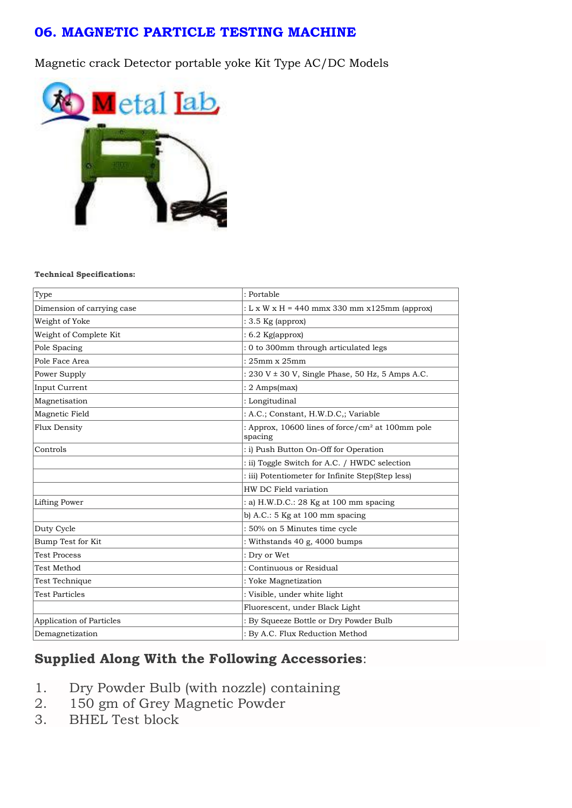#### **06. MAGNETIC PARTICLE TESTING MACHINE**

Magnetic crack Detector portable yoke Kit Type AC/DC Models



#### **Technical Specifications:**

| Type                            | : Portable                                                              |
|---------------------------------|-------------------------------------------------------------------------|
| Dimension of carrying case      | : L x W x H = 440 mmx 330 mm x125mm (approx)                            |
| Weight of Yoke                  | $: 3.5$ Kg (approx)                                                     |
| Weight of Complete Kit          | $: 6.2$ Kg(approx)                                                      |
| Pole Spacing                    | : 0 to 300mm through articulated legs                                   |
| Pole Face Area                  | $: 25mm \times 25mm$                                                    |
| Power Supply                    | : 230 V ± 30 V, Single Phase, 50 Hz, 5 Amps A.C.                        |
| Input Current                   | $: 2$ Amps(max)                                                         |
| Magnetisation                   | : Longitudinal                                                          |
| Magnetic Field                  | : A.C.; Constant, H.W.D.C.; Variable                                    |
| <b>Flux Density</b>             | : Approx, 10600 lines of force/cm <sup>2</sup> at 100mm pole<br>spacing |
| Controls                        | : i) Push Button On-Off for Operation                                   |
|                                 | : ii) Toggle Switch for A.C. / HWDC selection                           |
|                                 | : iii) Potentiometer for Infinite Step(Step less)                       |
|                                 | HW DC Field variation                                                   |
| Lifting Power                   | : a) H.W.D.C.: 28 Kg at 100 mm spacing                                  |
|                                 | b) A.C.: $5$ Kg at 100 mm spacing                                       |
| Duty Cycle                      | : 50% on 5 Minutes time cycle                                           |
| Bump Test for Kit               | : Withstands 40 g, 4000 bumps                                           |
| <b>Test Process</b>             | : Dry or Wet                                                            |
| <b>Test Method</b>              | : Continuous or Residual                                                |
| Test Technique                  | : Yoke Magnetization                                                    |
| <b>Test Particles</b>           | : Visible, under white light                                            |
|                                 | Fluorescent, under Black Light                                          |
| <b>Application of Particles</b> | : By Squeeze Bottle or Dry Powder Bulb                                  |
| Demagnetization                 | : By A.C. Flux Reduction Method                                         |

# **Supplied Along With the Following Accessories**:

- 1. Dry Powder Bulb (with nozzle) containing<br>2. 150 gm of Grey Magnetic Powder
- 150 gm of Grey Magnetic Powder
- 3. BHEL Test block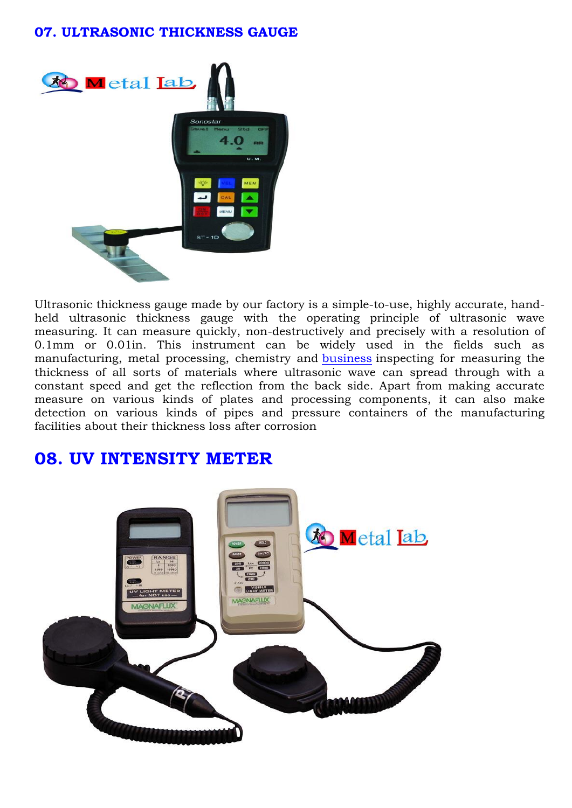#### **07. ULTRASONIC THICKNESS GAUGE**



Ultrasonic thickness gauge made by our factory is a simple-to-use, highly accurate, handheld ultrasonic thickness gauge with the operating principle of ultrasonic wave measuring. It can measure quickly, non-destructively and precisely with a resolution of 0.1mm or 0.01in. This instrument can be widely used in the fields such as manufacturing, metal processing, chemistry and [business](http://sonostarndt.en.nobodybuy.com/pid1291820/supply-st-1-ultrasonic-thickness-gauge.htm) inspecting for measuring the thickness of all sorts of materials where ultrasonic wave can spread through with a constant speed and get the reflection from the back side. Apart from making accurate measure on various kinds of plates and processing components, it can also make detection on various kinds of pipes and pressure containers of the manufacturing facilities about their thickness loss after corrosion

# **08. UV INTENSITY METER**

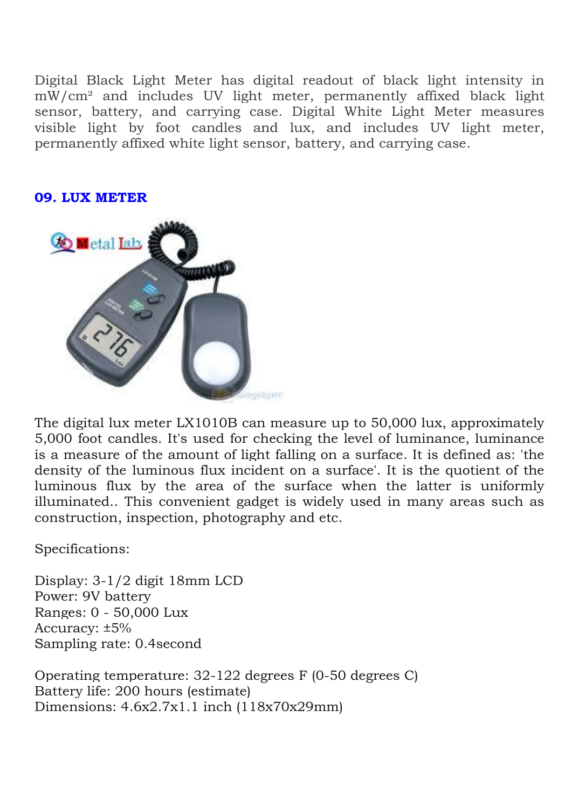Digital Black Light Meter has digital readout of black light intensity in mW/cm² and includes UV light meter, permanently affixed black light sensor, battery, and carrying case. Digital White Light Meter measures visible light by foot candles and lux, and includes UV light meter, permanently affixed white light sensor, battery, and carrying case.

#### **09. LUX METER**



The digital lux meter LX1010B can measure up to 50,000 lux, approximately 5,000 foot candles. It's used for checking the level of luminance, luminance is a measure of the amount of light falling on a surface. It is defined as: 'the density of the luminous flux incident on a surface'. It is the quotient of the luminous flux by the area of the surface when the latter is uniformly illuminated.. This convenient gadget is widely used in many areas such as construction, inspection, photography and etc.

Specifications:

Display: 3-1/2 digit 18mm LCD Power: 9V battery Ranges: 0 - 50,000 Lux Accuracy: ±5% Sampling rate: 0.4second

Operating temperature: 32-122 degrees F (0-50 degrees C) Battery life: 200 hours (estimate) Dimensions: 4.6x2.7x1.1 inch (118x70x29mm)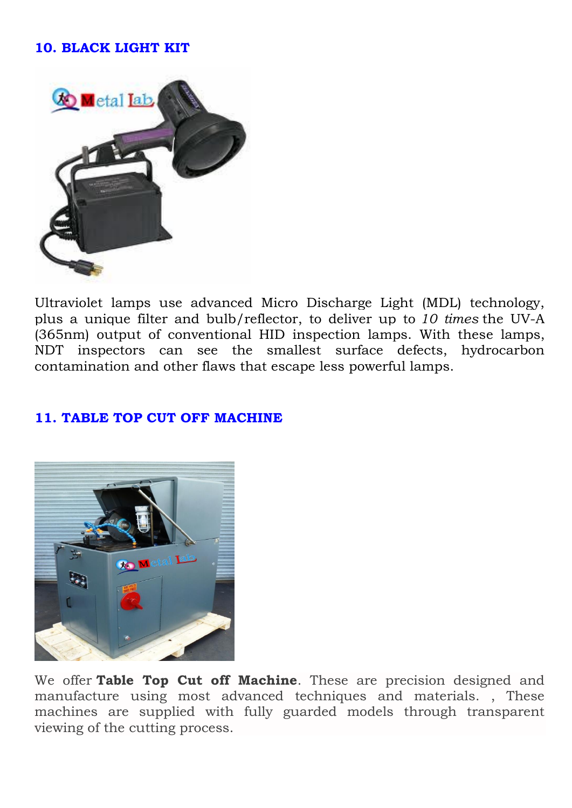# **10. BLACK LIGHT KIT**



Ultraviolet lamps use advanced Micro Discharge Light (MDL) technology, plus a unique filter and bulb/reflector, to deliver up to *10 times* the UV-A (365nm) output of conventional HID inspection lamps. With these lamps, NDT inspectors can see the smallest surface defects, hydrocarbon contamination and other flaws that escape less powerful lamps.

### **11. TABLE TOP CUT OFF MACHINE**



We offer **Table Top Cut off Machine**. These are precision designed and manufacture using most advanced techniques and materials. , These machines are supplied with fully guarded models through transparent viewing of the cutting process.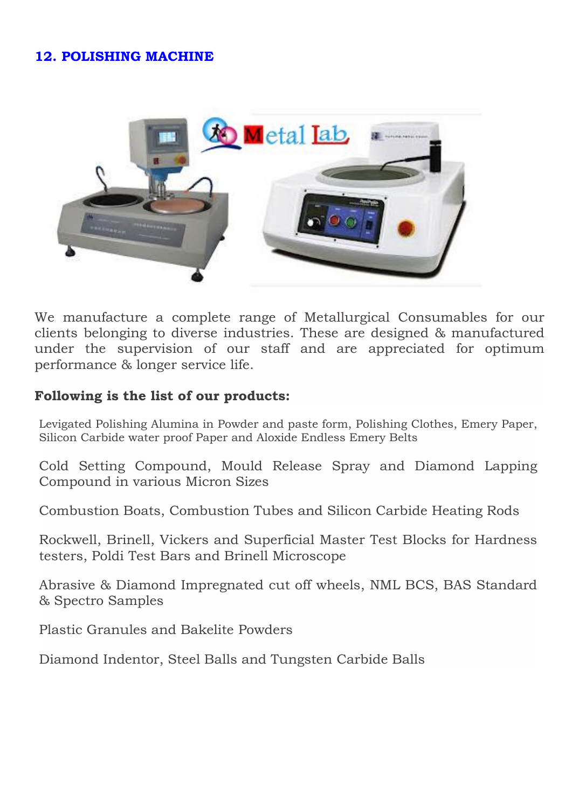# **12. POLISHING MACHINE**



We manufacture a complete range of Metallurgical Consumables for our clients belonging to diverse industries. These are designed & manufactured under the supervision of our staff and are appreciated for optimum performance & longer service life.

#### **Following is the list of our products:**

Levigated Polishing Alumina in Powder and paste form, Polishing Clothes, Emery Paper, Silicon Carbide water proof Paper and Aloxide Endless Emery Belts

Cold Setting Compound, Mould Release Spray and Diamond Lapping Compound in various Micron Sizes

Combustion Boats, Combustion Tubes and Silicon Carbide Heating Rods

Rockwell, Brinell, Vickers and Superficial Master Test Blocks for Hardness testers, Poldi Test Bars and Brinell Microscope

Abrasive & Diamond Impregnated cut off wheels, NML BCS, BAS Standard & Spectro Samples

Plastic Granules and Bakelite Powders

Diamond Indentor, Steel Balls and Tungsten Carbide Balls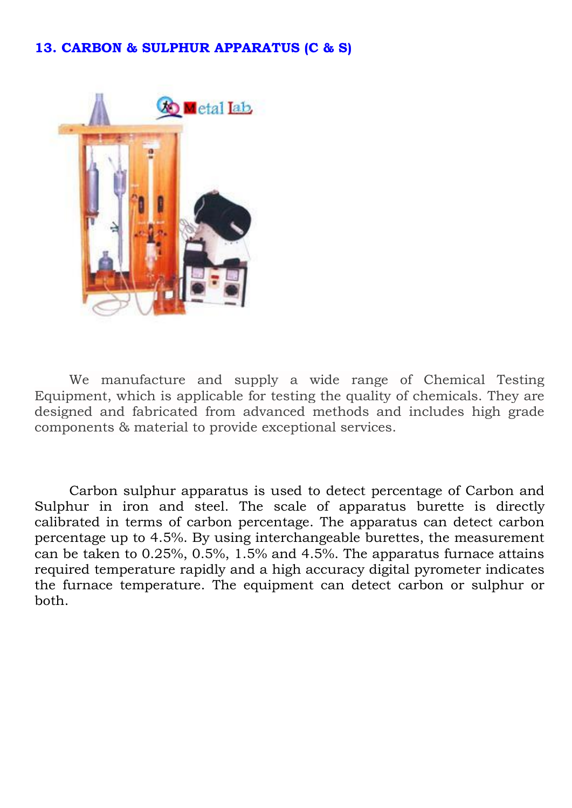### **13. CARBON & SULPHUR APPARATUS (C & S)**



We manufacture and supply a wide range of Chemical Testing Equipment, which is applicable for testing the quality of chemicals. They are designed and fabricated from advanced methods and includes high grade components & material to provide exceptional services.

Carbon sulphur apparatus is used to detect percentage of Carbon and Sulphur in iron and steel. The scale of apparatus burette is directly calibrated in terms of carbon percentage. The apparatus can detect carbon percentage up to 4.5%. By using interchangeable burettes, the measurement can be taken to 0.25%, 0.5%, 1.5% and 4.5%. The apparatus furnace attains required temperature rapidly and a high accuracy digital pyrometer indicates the furnace temperature. The equipment can detect carbon or sulphur or both.